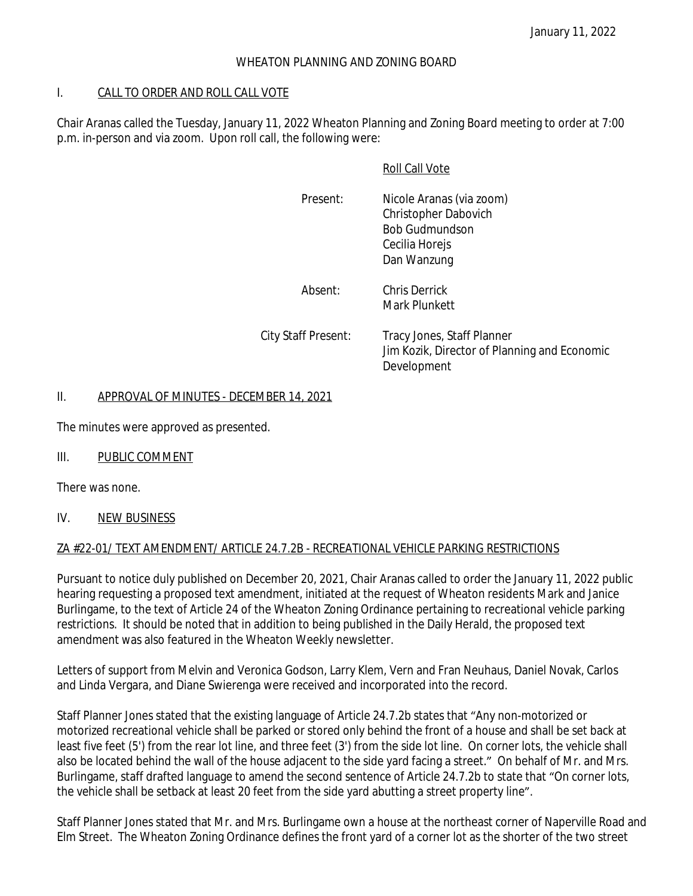#### WHEATON PLANNING AND ZONING BOARD

#### I. CALL TO ORDER AND ROLL CALL VOTE

Chair Aranas called the Tuesday, January 11, 2022 Wheaton Planning and Zoning Board meeting to order at 7:00 p.m. in-person and via zoom. Upon roll call, the following were:

#### Roll Call Vote

| Present: | Nicole Aranas (via zoom)<br>Christopher Dabovich<br><b>Bob Gudmundson</b><br>Cecilia Horejs<br>Dan Wanzung |
|----------|------------------------------------------------------------------------------------------------------------|
| Absent:  | <b>Chris Derrick</b><br>Mark Plunkett                                                                      |

City Staff Present: Tracy Jones, Staff Planner Jim Kozik, Director of Planning and Economic Development

#### II. APPROVAL OF MINUTES - DECEMBER 14, 2021

The minutes were approved as presented.

### III. PUBLIC COMMENT

There was none.

#### IV. NEW BUSINESS

#### ZA #22-01/ TEXT AMENDMENT/ ARTICLE 24.7.2B - RECREATIONAL VEHICLE PARKING RESTRICTIONS

Pursuant to notice duly published on December 20, 2021, Chair Aranas called to order the January 11, 2022 public hearing requesting a proposed text amendment, initiated at the request of Wheaton residents Mark and Janice Burlingame, to the text of Article 24 of the Wheaton Zoning Ordinance pertaining to recreational vehicle parking restrictions. It should be noted that in addition to being published in the Daily Herald, the proposed text amendment was also featured in the Wheaton Weekly newsletter.

Letters of support from Melvin and Veronica Godson, Larry Klem, Vern and Fran Neuhaus, Daniel Novak, Carlos and Linda Vergara, and Diane Swierenga were received and incorporated into the record.

Staff Planner Jones stated that the existing language of Article 24.7.2b states that "Any non-motorized or motorized recreational vehicle shall be parked or stored only behind the front of a house and shall be set back at least five feet (5') from the rear lot line, and three feet (3') from the side lot line. On corner lots, the vehicle shall also be located behind the wall of the house adjacent to the side yard facing a street." On behalf of Mr. and Mrs. Burlingame, staff drafted language to amend the second sentence of Article 24.7.2b to state that "On corner lots, the vehicle shall be setback at least 20 feet from the side yard abutting a street property line".

Staff Planner Jones stated that Mr. and Mrs. Burlingame own a house at the northeast corner of Naperville Road and Elm Street. The Wheaton Zoning Ordinance defines the front yard of a corner lot as the shorter of the two street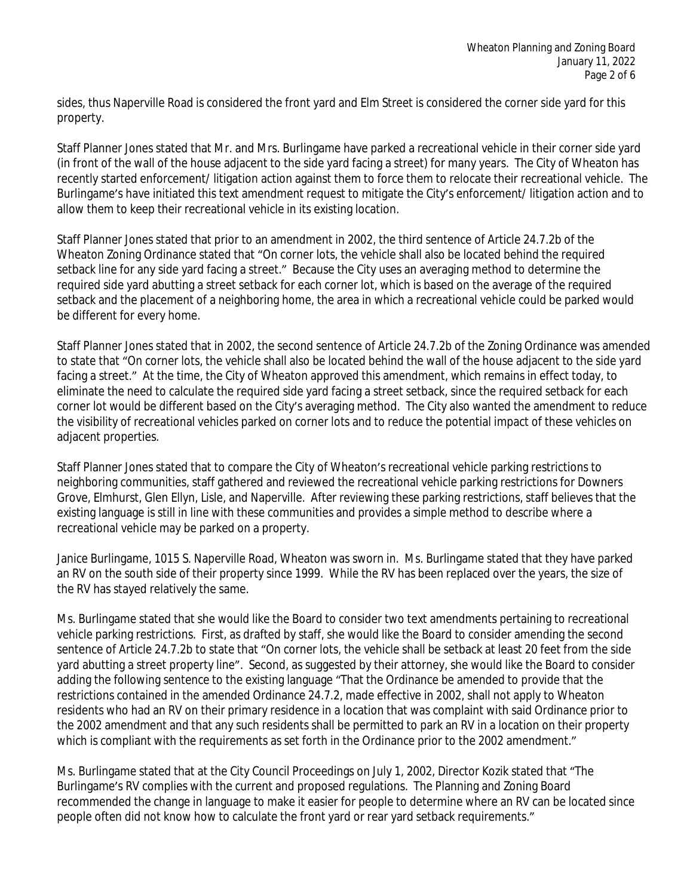sides, thus Naperville Road is considered the front yard and Elm Street is considered the corner side yard for this property.

Staff Planner Jones stated that Mr. and Mrs. Burlingame have parked a recreational vehicle in their corner side yard (in front of the wall of the house adjacent to the side yard facing a street) for many years. The City of Wheaton has recently started enforcement/ litigation action against them to force them to relocate their recreational vehicle. The Burlingame's have initiated this text amendment request to mitigate the City's enforcement/ litigation action and to allow them to keep their recreational vehicle in its existing location.

Staff Planner Jones stated that prior to an amendment in 2002, the third sentence of Article 24.7.2b of the Wheaton Zoning Ordinance stated that "On corner lots, the vehicle shall also be located behind the required setback line for any side yard facing a street." Because the City uses an averaging method to determine the required side yard abutting a street setback for each corner lot, which is based on the average of the required setback and the placement of a neighboring home, the area in which a recreational vehicle could be parked would be different for every home.

Staff Planner Jones stated that in 2002, the second sentence of Article 24.7.2b of the Zoning Ordinance was amended to state that "On corner lots, the vehicle shall also be located behind the wall of the house adjacent to the side yard facing a street." At the time, the City of Wheaton approved this amendment, which remains in effect today, to eliminate the need to calculate the required side yard facing a street setback, since the required setback for each corner lot would be different based on the City's averaging method. The City also wanted the amendment to reduce the visibility of recreational vehicles parked on corner lots and to reduce the potential impact of these vehicles on adjacent properties.

Staff Planner Jones stated that to compare the City of Wheaton's recreational vehicle parking restrictions to neighboring communities, staff gathered and reviewed the recreational vehicle parking restrictions for Downers Grove, Elmhurst, Glen Ellyn, Lisle, and Naperville. After reviewing these parking restrictions, staff believes that the existing language is still in line with these communities and provides a simple method to describe where a recreational vehicle may be parked on a property.

Janice Burlingame, 1015 S. Naperville Road, Wheaton was sworn in. Ms. Burlingame stated that they have parked an RV on the south side of their property since 1999. While the RV has been replaced over the years, the size of the RV has stayed relatively the same.

Ms. Burlingame stated that she would like the Board to consider two text amendments pertaining to recreational vehicle parking restrictions. First, as drafted by staff, she would like the Board to consider amending the second sentence of Article 24.7.2b to state that "On corner lots, the vehicle shall be setback at least 20 feet from the side yard abutting a street property line". Second, as suggested by their attorney, she would like the Board to consider adding the following sentence to the existing language "That the Ordinance be amended to provide that the restrictions contained in the amended Ordinance 24.7.2, made effective in 2002, shall not apply to Wheaton residents who had an RV on their primary residence in a location that was complaint with said Ordinance prior to the 2002 amendment and that any such residents shall be permitted to park an RV in a location on their property which is compliant with the requirements as set forth in the Ordinance prior to the 2002 amendment."

Ms. Burlingame stated that at the City Council Proceedings on July 1, 2002, Director Kozik stated that "The Burlingame's RV complies with the current and proposed regulations. The Planning and Zoning Board recommended the change in language to make it easier for people to determine where an RV can be located since people often did not know how to calculate the front yard or rear yard setback requirements."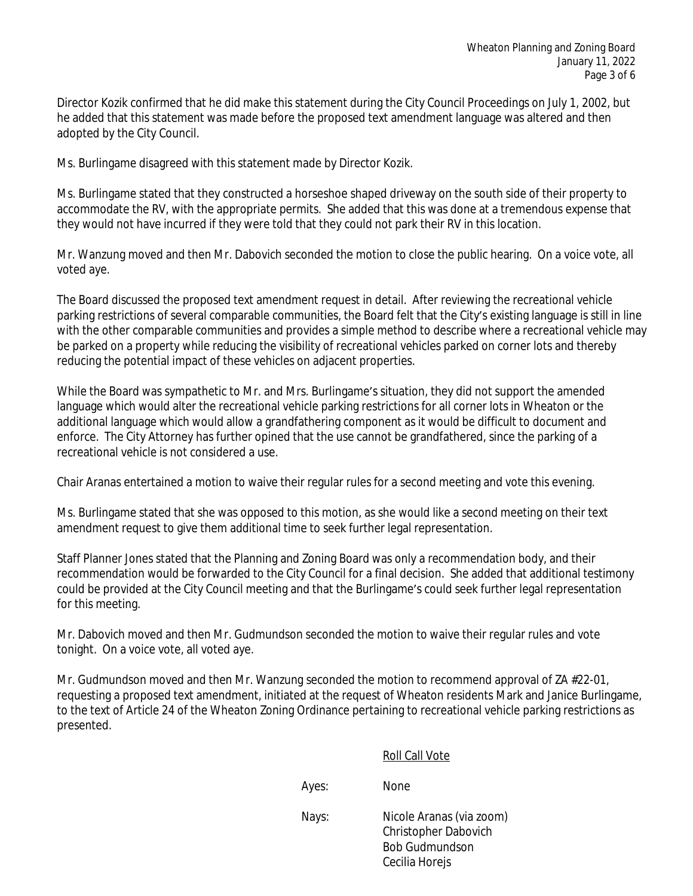Director Kozik confirmed that he did make this statement during the City Council Proceedings on July 1, 2002, but he added that this statement was made before the proposed text amendment language was altered and then adopted by the City Council.

Ms. Burlingame disagreed with this statement made by Director Kozik.

Ms. Burlingame stated that they constructed a horseshoe shaped driveway on the south side of their property to accommodate the RV, with the appropriate permits. She added that this was done at a tremendous expense that they would not have incurred if they were told that they could not park their RV in this location.

Mr. Wanzung moved and then Mr. Dabovich seconded the motion to close the public hearing. On a voice vote, all voted aye.

The Board discussed the proposed text amendment request in detail. After reviewing the recreational vehicle parking restrictions of several comparable communities, the Board felt that the City's existing language is still in line with the other comparable communities and provides a simple method to describe where a recreational vehicle may be parked on a property while reducing the visibility of recreational vehicles parked on corner lots and thereby reducing the potential impact of these vehicles on adjacent properties.

While the Board was sympathetic to Mr. and Mrs. Burlingame's situation, they did not support the amended language which would alter the recreational vehicle parking restrictions for all corner lots in Wheaton or the additional language which would allow a grandfathering component as it would be difficult to document and enforce. The City Attorney has further opined that the use cannot be grandfathered, since the parking of a recreational vehicle is not considered a use.

Chair Aranas entertained a motion to waive their regular rules for a second meeting and vote this evening.

Ms. Burlingame stated that she was opposed to this motion, as she would like a second meeting on their text amendment request to give them additional time to seek further legal representation.

Staff Planner Jones stated that the Planning and Zoning Board was only a recommendation body, and their recommendation would be forwarded to the City Council for a final decision. She added that additional testimony could be provided at the City Council meeting and that the Burlingame's could seek further legal representation for this meeting.

Mr. Dabovich moved and then Mr. Gudmundson seconded the motion to waive their regular rules and vote tonight. On a voice vote, all voted aye.

Mr. Gudmundson moved and then Mr. Wanzung seconded the motion to recommend approval of ZA #22-01, requesting a proposed text amendment, initiated at the request of Wheaton residents Mark and Janice Burlingame, to the text of Article 24 of the Wheaton Zoning Ordinance pertaining to recreational vehicle parking restrictions as presented.

Roll Call Vote

Ayes: None

Nays: Nicole Aranas (via zoom) Christopher Dabovich Bob Gudmundson Cecilia Horejs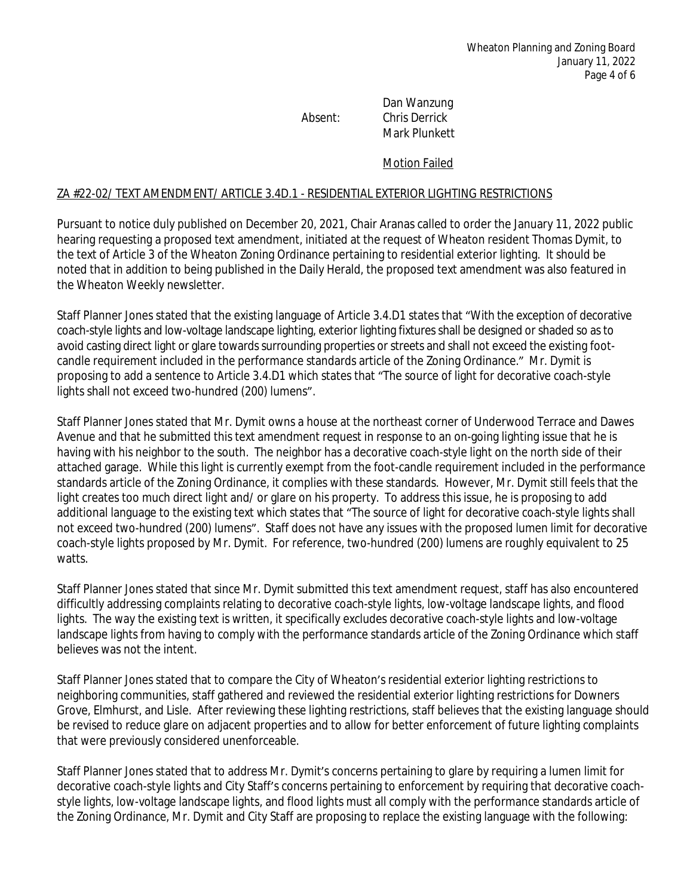Dan Wanzung Absent: Chris Derrick Mark Plunkett

Motion Failed

#### ZA #22-02/ TEXT AMENDMENT/ ARTICLE 3.4D.1 - RESIDENTIAL EXTERIOR LIGHTING RESTRICTIONS

Pursuant to notice duly published on December 20, 2021, Chair Aranas called to order the January 11, 2022 public hearing requesting a proposed text amendment, initiated at the request of Wheaton resident Thomas Dymit, to the text of Article 3 of the Wheaton Zoning Ordinance pertaining to residential exterior lighting. It should be noted that in addition to being published in the Daily Herald, the proposed text amendment was also featured in the Wheaton Weekly newsletter.

Staff Planner Jones stated that the existing language of Article 3.4.D1 states that "With the exception of decorative coach-style lights and low-voltage landscape lighting, exterior lighting fixtures shall be designed or shaded so as to avoid casting direct light or glare towards surrounding properties or streets and shall not exceed the existing footcandle requirement included in the performance standards article of the Zoning Ordinance." Mr. Dymit is proposing to add a sentence to Article 3.4.D1 which states that "The source of light for decorative coach-style lights shall not exceed two-hundred (200) lumens".

Staff Planner Jones stated that Mr. Dymit owns a house at the northeast corner of Underwood Terrace and Dawes Avenue and that he submitted this text amendment request in response to an on-going lighting issue that he is having with his neighbor to the south. The neighbor has a decorative coach-style light on the north side of their attached garage. While this light is currently exempt from the foot-candle requirement included in the performance standards article of the Zoning Ordinance, it complies with these standards. However, Mr. Dymit still feels that the light creates too much direct light and/ or glare on his property. To address this issue, he is proposing to add additional language to the existing text which states that "The source of light for decorative coach-style lights shall not exceed two-hundred (200) lumens". Staff does not have any issues with the proposed lumen limit for decorative coach-style lights proposed by Mr. Dymit. For reference, two-hundred (200) lumens are roughly equivalent to 25 watts.

Staff Planner Jones stated that since Mr. Dymit submitted this text amendment request, staff has also encountered difficultly addressing complaints relating to decorative coach-style lights, low-voltage landscape lights, and flood lights. The way the existing text is written, it specifically excludes decorative coach-style lights and low-voltage landscape lights from having to comply with the performance standards article of the Zoning Ordinance which staff believes was not the intent.

Staff Planner Jones stated that to compare the City of Wheaton's residential exterior lighting restrictions to neighboring communities, staff gathered and reviewed the residential exterior lighting restrictions for Downers Grove, Elmhurst, and Lisle. After reviewing these lighting restrictions, staff believes that the existing language should be revised to reduce glare on adjacent properties and to allow for better enforcement of future lighting complaints that were previously considered unenforceable.

Staff Planner Jones stated that to address Mr. Dymit's concerns pertaining to glare by requiring a lumen limit for decorative coach-style lights and City Staff's concerns pertaining to enforcement by requiring that decorative coachstyle lights, low-voltage landscape lights, and flood lights must all comply with the performance standards article of the Zoning Ordinance, Mr. Dymit and City Staff are proposing to replace the existing language with the following: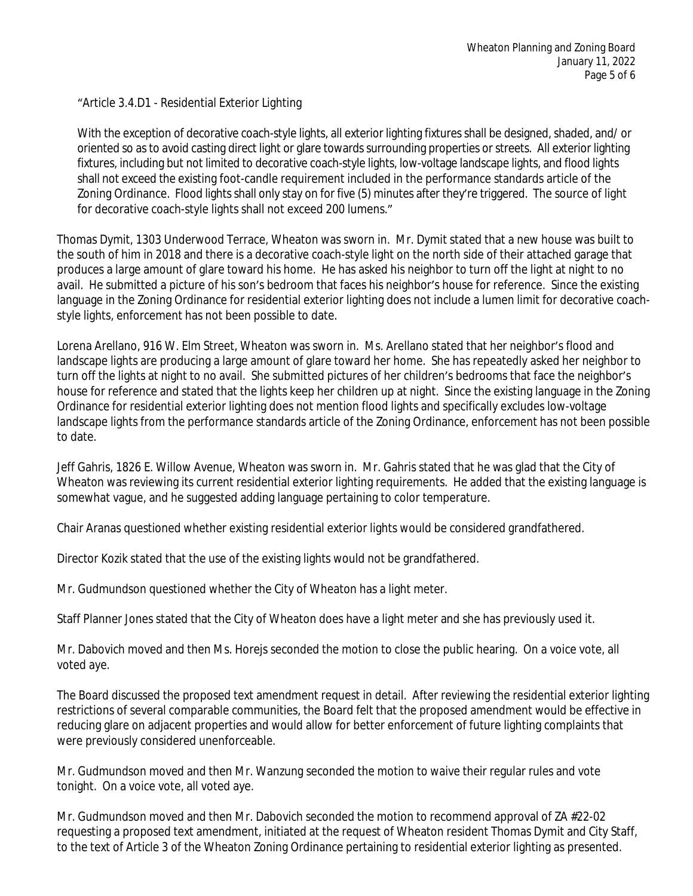## "Article 3.4.D1 - Residential Exterior Lighting

With the exception of decorative coach-style lights, all exterior lighting fixtures shall be designed, shaded, and/ or oriented so as to avoid casting direct light or glare towards surrounding properties or streets. All exterior lighting fixtures, including but not limited to decorative coach-style lights, low-voltage landscape lights, and flood lights shall not exceed the existing foot-candle requirement included in the performance standards article of the Zoning Ordinance. Flood lights shall only stay on for five (5) minutes after they're triggered. The source of light for decorative coach-style lights shall not exceed 200 lumens."

Thomas Dymit, 1303 Underwood Terrace, Wheaton was sworn in. Mr. Dymit stated that a new house was built to the south of him in 2018 and there is a decorative coach-style light on the north side of their attached garage that produces a large amount of glare toward his home. He has asked his neighbor to turn off the light at night to no avail. He submitted a picture of his son's bedroom that faces his neighbor's house for reference. Since the existing language in the Zoning Ordinance for residential exterior lighting does not include a lumen limit for decorative coachstyle lights, enforcement has not been possible to date.

Lorena Arellano, 916 W. Elm Street, Wheaton was sworn in. Ms. Arellano stated that her neighbor's flood and landscape lights are producing a large amount of glare toward her home. She has repeatedly asked her neighbor to turn off the lights at night to no avail. She submitted pictures of her children's bedrooms that face the neighbor's house for reference and stated that the lights keep her children up at night. Since the existing language in the Zoning Ordinance for residential exterior lighting does not mention flood lights and specifically excludes low-voltage landscape lights from the performance standards article of the Zoning Ordinance, enforcement has not been possible to date.

Jeff Gahris, 1826 E. Willow Avenue, Wheaton was sworn in. Mr. Gahris stated that he was glad that the City of Wheaton was reviewing its current residential exterior lighting requirements. He added that the existing language is somewhat vague, and he suggested adding language pertaining to color temperature.

Chair Aranas questioned whether existing residential exterior lights would be considered grandfathered.

Director Kozik stated that the use of the existing lights would not be grandfathered.

Mr. Gudmundson questioned whether the City of Wheaton has a light meter.

Staff Planner Jones stated that the City of Wheaton does have a light meter and she has previously used it.

Mr. Dabovich moved and then Ms. Horejs seconded the motion to close the public hearing. On a voice vote, all voted aye.

The Board discussed the proposed text amendment request in detail. After reviewing the residential exterior lighting restrictions of several comparable communities, the Board felt that the proposed amendment would be effective in reducing glare on adjacent properties and would allow for better enforcement of future lighting complaints that were previously considered unenforceable.

Mr. Gudmundson moved and then Mr. Wanzung seconded the motion to waive their regular rules and vote tonight. On a voice vote, all voted aye.

Mr. Gudmundson moved and then Mr. Dabovich seconded the motion to recommend approval of ZA #22-02 requesting a proposed text amendment, initiated at the request of Wheaton resident Thomas Dymit and City Staff, to the text of Article 3 of the Wheaton Zoning Ordinance pertaining to residential exterior lighting as presented.